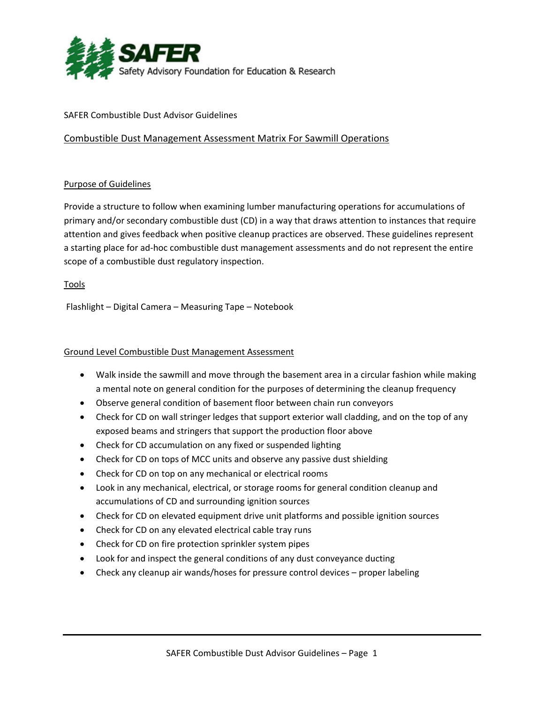

#### SAFER Combustible Dust Advisor Guidelines

## Combustible Dust Management Assessment Matrix For Sawmill Operations

### Purpose of Guidelines

Provide a structure to follow when examining lumber manufacturing operations for accumulations of primary and/or secondary combustible dust (CD) in a way that draws attention to instances that require attention and gives feedback when positive cleanup practices are observed. These guidelines represent a starting place for ad‐hoc combustible dust management assessments and do not represent the entire scope of a combustible dust regulatory inspection.

Tools

Flashlight – Digital Camera – Measuring Tape – Notebook

#### Ground Level Combustible Dust Management Assessment

- Walk inside the sawmill and move through the basement area in a circular fashion while making a mental note on general condition for the purposes of determining the cleanup frequency
- Observe general condition of basement floor between chain run conveyors
- Check for CD on wall stringer ledges that support exterior wall cladding, and on the top of any exposed beams and stringers that support the production floor above
- Check for CD accumulation on any fixed or suspended lighting
- Check for CD on tops of MCC units and observe any passive dust shielding
- Check for CD on top on any mechanical or electrical rooms
- Look in any mechanical, electrical, or storage rooms for general condition cleanup and accumulations of CD and surrounding ignition sources
- Check for CD on elevated equipment drive unit platforms and possible ignition sources
- Check for CD on any elevated electrical cable tray runs
- Check for CD on fire protection sprinkler system pipes
- Look for and inspect the general conditions of any dust conveyance ducting
- Check any cleanup air wands/hoses for pressure control devices proper labeling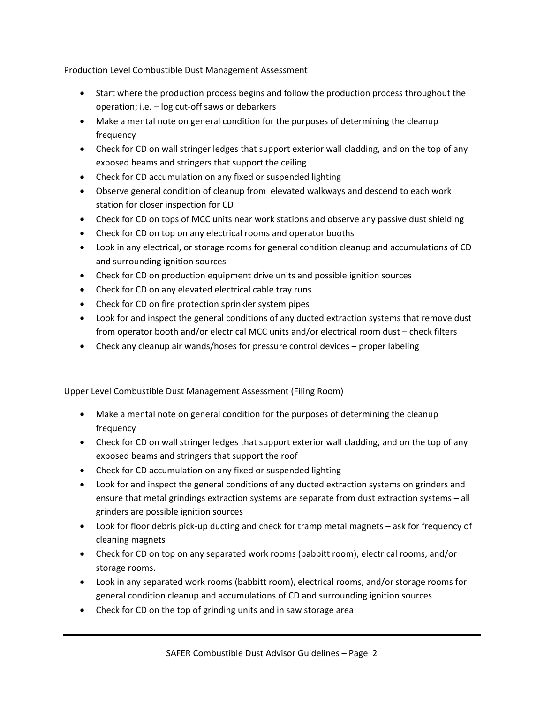## Production Level Combustible Dust Management Assessment

- Start where the production process begins and follow the production process throughout the operation; i.e. – log cut‐off saws or debarkers
- Make a mental note on general condition for the purposes of determining the cleanup frequency
- Check for CD on wall stringer ledges that support exterior wall cladding, and on the top of any exposed beams and stringers that support the ceiling
- Check for CD accumulation on any fixed or suspended lighting
- Observe general condition of cleanup from elevated walkways and descend to each work station for closer inspection for CD
- Check for CD on tops of MCC units near work stations and observe any passive dust shielding
- Check for CD on top on any electrical rooms and operator booths
- Look in any electrical, or storage rooms for general condition cleanup and accumulations of CD and surrounding ignition sources
- Check for CD on production equipment drive units and possible ignition sources
- Check for CD on any elevated electrical cable tray runs
- Check for CD on fire protection sprinkler system pipes
- Look for and inspect the general conditions of any ducted extraction systems that remove dust from operator booth and/or electrical MCC units and/or electrical room dust – check filters
- Check any cleanup air wands/hoses for pressure control devices proper labeling

# Upper Level Combustible Dust Management Assessment (Filing Room)

- Make a mental note on general condition for the purposes of determining the cleanup frequency
- Check for CD on wall stringer ledges that support exterior wall cladding, and on the top of any exposed beams and stringers that support the roof
- Check for CD accumulation on any fixed or suspended lighting
- Look for and inspect the general conditions of any ducted extraction systems on grinders and ensure that metal grindings extraction systems are separate from dust extraction systems – all grinders are possible ignition sources
- Look for floor debris pick-up ducting and check for tramp metal magnets ask for frequency of cleaning magnets
- Check for CD on top on any separated work rooms (babbitt room), electrical rooms, and/or storage rooms.
- Look in any separated work rooms (babbitt room), electrical rooms, and/or storage rooms for general condition cleanup and accumulations of CD and surrounding ignition sources
- Check for CD on the top of grinding units and in saw storage area